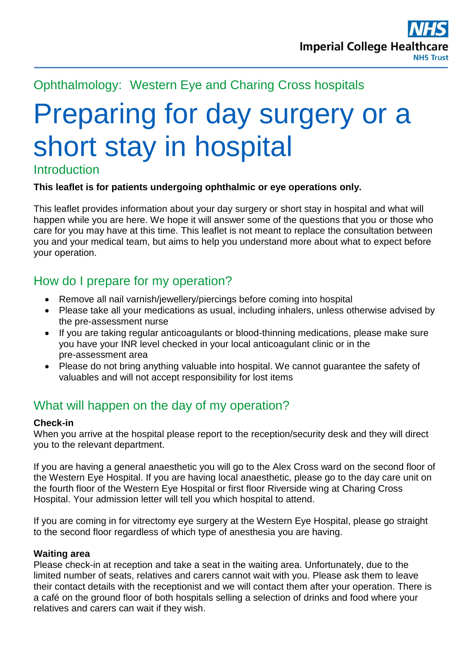# Ophthalmology: Western Eye and Charing Cross hospitals

# Preparing for day surgery or a short stay in hospital

## Introduction

#### **This leaflet is for patients undergoing ophthalmic or eye operations only.**

This leaflet provides information about your day surgery or short stay in hospital and what will happen while you are here. We hope it will answer some of the questions that you or those who care for you may have at this time. This leaflet is not meant to replace the consultation between you and your medical team, but aims to help you understand more about what to expect before your operation.

# How do I prepare for my operation?

- Remove all nail varnish/jewellery/piercings before coming into hospital
- Please take all your medications as usual, including inhalers, unless otherwise advised by the pre-assessment nurse
- If you are taking regular anticoagulants or blood-thinning medications, please make sure you have your INR level checked in your local anticoagulant clinic or in the pre-assessment area
- Please do not bring anything valuable into hospital. We cannot guarantee the safety of valuables and will not accept responsibility for lost items

## What will happen on the day of my operation?

#### **Check-in**

When you arrive at the hospital please report to the reception/security desk and they will direct you to the relevant department.

If you are having a general anaesthetic you will go to the Alex Cross ward on the second floor of the Western Eye Hospital. If you are having local anaesthetic, please go to the day care unit on the fourth floor of the Western Eye Hospital or first floor Riverside wing at Charing Cross Hospital. Your admission letter will tell you which hospital to attend.

If you are coming in for vitrectomy eye surgery at the Western Eye Hospital, please go straight to the second floor regardless of which type of anesthesia you are having.

#### **Waiting area**

Please check-in at reception and take a seat in the waiting area. Unfortunately, due to the limited number of seats, relatives and carers cannot wait with you. Please ask them to leave their contact details with the receptionist and we will contact them after your operation. There is a café on the ground floor of both hospitals selling a selection of drinks and food where your relatives and carers can wait if they wish.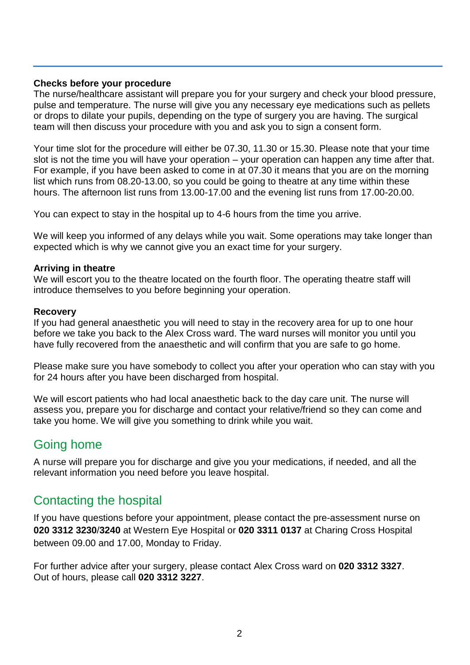#### **Checks before your procedure**

The nurse/healthcare assistant will prepare you for your surgery and check your blood pressure, pulse and temperature. The nurse will give you any necessary eye medications such as pellets or drops to dilate your pupils, depending on the type of surgery you are having. The surgical team will then discuss your procedure with you and ask you to sign a consent form.

Your time slot for the procedure will either be 07.30, 11.30 or 15.30. Please note that your time slot is not the time you will have your operation – your operation can happen any time after that. For example, if you have been asked to come in at 07.30 it means that you are on the morning list which runs from 08.20-13.00, so you could be going to theatre at any time within these hours. The afternoon list runs from 13.00-17.00 and the evening list runs from 17.00-20.00.

You can expect to stay in the hospital up to 4-6 hours from the time you arrive.

We will keep you informed of any delays while you wait. Some operations may take longer than expected which is why we cannot give you an exact time for your surgery.

#### **Arriving in theatre**

We will escort you to the theatre located on the fourth floor. The operating theatre staff will introduce themselves to you before beginning your operation.

#### **Recovery**

If you had general anaesthetic you will need to stay in the recovery area for up to one hour before we take you back to the Alex Cross ward. The ward nurses will monitor you until you have fully recovered from the anaesthetic and will confirm that you are safe to go home.

Please make sure you have somebody to collect you after your operation who can stay with you for 24 hours after you have been discharged from hospital.

We will escort patients who had local anaesthetic back to the day care unit. The nurse will assess you, prepare you for discharge and contact your relative/friend so they can come and take you home. We will give you something to drink while you wait.

## Going home

A nurse will prepare you for discharge and give you your medications, if needed, and all the relevant information you need before you leave hospital.

## Contacting the hospital

If you have questions before your appointment, please contact the pre-assessment nurse on **020 3312 3230**/**3240** at Western Eye Hospital or **020 3311 0137** at Charing Cross Hospital between 09.00 and 17.00, Monday to Friday.

For further advice after your surgery, please contact Alex Cross ward on **020 3312 3327**. Out of hours, please call **020 3312 3227**.